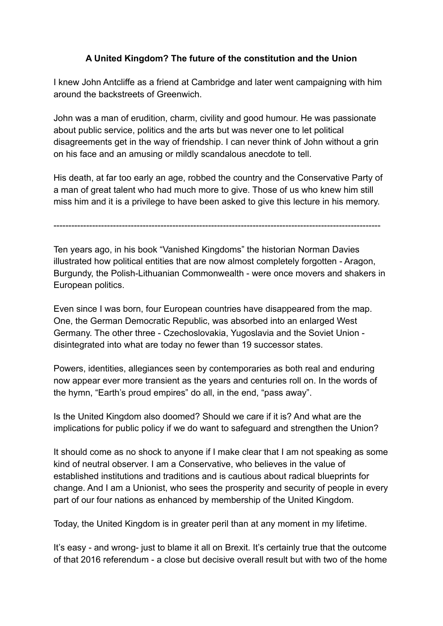## **A United Kingdom? The future of the constitution and the Union**

I knew John Antcliffe as a friend at Cambridge and later went campaigning with him around the backstreets of Greenwich.

John was a man of erudition, charm, civility and good humour. He was passionate about public service, politics and the arts but was never one to let political disagreements get in the way of friendship. I can never think of John without a grin on his face and an amusing or mildly scandalous anecdote to tell.

His death, at far too early an age, robbed the country and the Conservative Party of a man of great talent who had much more to give. Those of us who knew him still miss him and it is a privilege to have been asked to give this lecture in his memory.

--------------------------------------------------------------------------------------------------------------

Ten years ago, in his book "Vanished Kingdoms" the historian Norman Davies illustrated how political entities that are now almost completely forgotten - Aragon, Burgundy, the Polish-Lithuanian Commonwealth - were once movers and shakers in European politics.

Even since I was born, four European countries have disappeared from the map. One, the German Democratic Republic, was absorbed into an enlarged West Germany. The other three - Czechoslovakia, Yugoslavia and the Soviet Union disintegrated into what are today no fewer than 19 successor states.

Powers, identities, allegiances seen by contemporaries as both real and enduring now appear ever more transient as the years and centuries roll on. In the words of the hymn, "Earth's proud empires" do all, in the end, "pass away".

Is the United Kingdom also doomed? Should we care if it is? And what are the implications for public policy if we do want to safeguard and strengthen the Union?

It should come as no shock to anyone if I make clear that I am not speaking as some kind of neutral observer. I am a Conservative, who believes in the value of established institutions and traditions and is cautious about radical blueprints for change. And I am a Unionist, who sees the prosperity and security of people in every part of our four nations as enhanced by membership of the United Kingdom.

Today, the United Kingdom is in greater peril than at any moment in my lifetime.

It's easy - and wrong- just to blame it all on Brexit. It's certainly true that the outcome of that 2016 referendum - a close but decisive overall result but with two of the home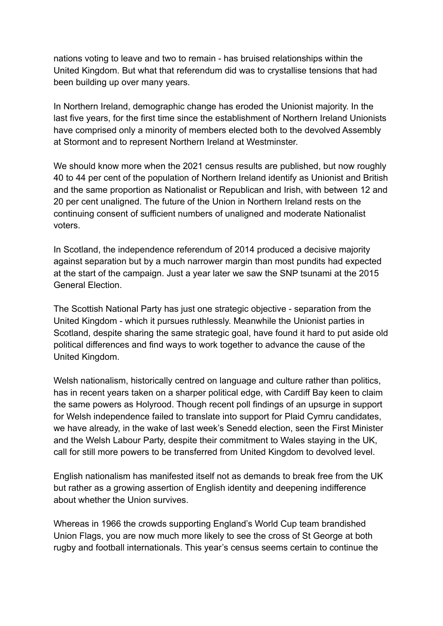nations voting to leave and two to remain - has bruised relationships within the United Kingdom. But what that referendum did was to crystallise tensions that had been building up over many years.

In Northern Ireland, demographic change has eroded the Unionist majority. In the last five years, for the first time since the establishment of Northern Ireland Unionists have comprised only a minority of members elected both to the devolved Assembly at Stormont and to represent Northern Ireland at Westminster.

We should know more when the 2021 census results are published, but now roughly 40 to 44 per cent of the population of Northern Ireland identify as Unionist and British and the same proportion as Nationalist or Republican and Irish, with between 12 and 20 per cent unaligned. The future of the Union in Northern Ireland rests on the continuing consent of sufficient numbers of unaligned and moderate Nationalist voters.

In Scotland, the independence referendum of 2014 produced a decisive majority against separation but by a much narrower margin than most pundits had expected at the start of the campaign. Just a year later we saw the SNP tsunami at the 2015 General Election.

The Scottish National Party has just one strategic objective - separation from the United Kingdom - which it pursues ruthlessly. Meanwhile the Unionist parties in Scotland, despite sharing the same strategic goal, have found it hard to put aside old political differences and find ways to work together to advance the cause of the United Kingdom.

Welsh nationalism, historically centred on language and culture rather than politics, has in recent years taken on a sharper political edge, with Cardiff Bay keen to claim the same powers as Holyrood. Though recent poll findings of an upsurge in support for Welsh independence failed to translate into support for Plaid Cymru candidates, we have already, in the wake of last week's Senedd election, seen the First Minister and the Welsh Labour Party, despite their commitment to Wales staying in the UK, call for still more powers to be transferred from United Kingdom to devolved level.

English nationalism has manifested itself not as demands to break free from the UK but rather as a growing assertion of English identity and deepening indifference about whether the Union survives.

Whereas in 1966 the crowds supporting England's World Cup team brandished Union Flags, you are now much more likely to see the cross of St George at both rugby and football internationals. This year's census seems certain to continue the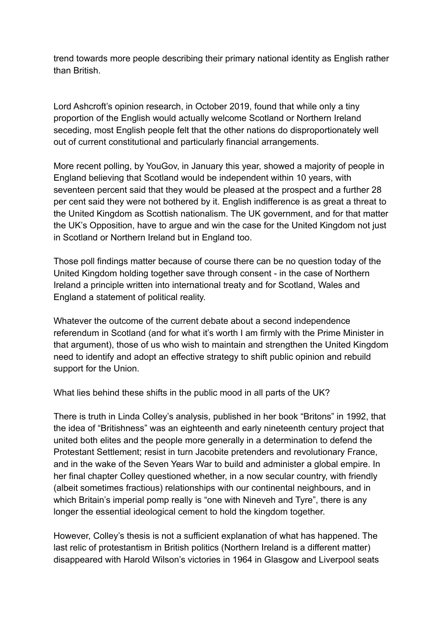trend towards more people describing their primary national identity as English rather than British.

Lord Ashcroft's opinion research, in October 2019, found that while only a tiny proportion of the English would actually welcome Scotland or Northern Ireland seceding, most English people felt that the other nations do disproportionately well out of current constitutional and particularly financial arrangements.

More recent polling, by YouGov, in January this year, showed a majority of people in England believing that Scotland would be independent within 10 years, with seventeen percent said that they would be pleased at the prospect and a further 28 per cent said they were not bothered by it. English indifference is as great a threat to the United Kingdom as Scottish nationalism. The UK government, and for that matter the UK's Opposition, have to argue and win the case for the United Kingdom not just in Scotland or Northern Ireland but in England too.

Those poll findings matter because of course there can be no question today of the United Kingdom holding together save through consent - in the case of Northern Ireland a principle written into international treaty and for Scotland, Wales and England a statement of political reality.

Whatever the outcome of the current debate about a second independence referendum in Scotland (and for what it's worth I am firmly with the Prime Minister in that argument), those of us who wish to maintain and strengthen the United Kingdom need to identify and adopt an effective strategy to shift public opinion and rebuild support for the Union.

What lies behind these shifts in the public mood in all parts of the UK?

There is truth in Linda Colley's analysis, published in her book "Britons" in 1992, that the idea of "Britishness" was an eighteenth and early nineteenth century project that united both elites and the people more generally in a determination to defend the Protestant Settlement; resist in turn Jacobite pretenders and revolutionary France, and in the wake of the Seven Years War to build and administer a global empire. In her final chapter Colley questioned whether, in a now secular country, with friendly (albeit sometimes fractious) relationships with our continental neighbours, and in which Britain's imperial pomp really is "one with Nineveh and Tyre", there is any longer the essential ideological cement to hold the kingdom together.

However, Colley's thesis is not a sufficient explanation of what has happened. The last relic of protestantism in British politics (Northern Ireland is a different matter) disappeared with Harold Wilson's victories in 1964 in Glasgow and Liverpool seats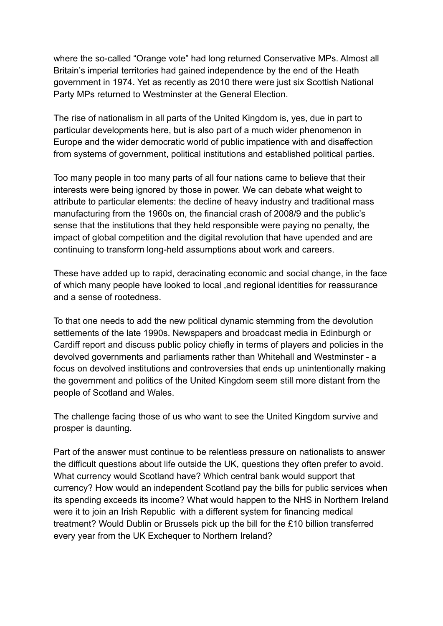where the so-called "Orange vote" had long returned Conservative MPs. Almost all Britain's imperial territories had gained independence by the end of the Heath government in 1974. Yet as recently as 2010 there were just six Scottish National Party MPs returned to Westminster at the General Election.

The rise of nationalism in all parts of the United Kingdom is, yes, due in part to particular developments here, but is also part of a much wider phenomenon in Europe and the wider democratic world of public impatience with and disaffection from systems of government, political institutions and established political parties.

Too many people in too many parts of all four nations came to believe that their interests were being ignored by those in power. We can debate what weight to attribute to particular elements: the decline of heavy industry and traditional mass manufacturing from the 1960s on, the financial crash of 2008/9 and the public's sense that the institutions that they held responsible were paying no penalty, the impact of global competition and the digital revolution that have upended and are continuing to transform long-held assumptions about work and careers.

These have added up to rapid, deracinating economic and social change, in the face of which many people have looked to local ,and regional identities for reassurance and a sense of rootedness.

To that one needs to add the new political dynamic stemming from the devolution settlements of the late 1990s. Newspapers and broadcast media in Edinburgh or Cardiff report and discuss public policy chiefly in terms of players and policies in the devolved governments and parliaments rather than Whitehall and Westminster - a focus on devolved institutions and controversies that ends up unintentionally making the government and politics of the United Kingdom seem still more distant from the people of Scotland and Wales.

The challenge facing those of us who want to see the United Kingdom survive and prosper is daunting.

Part of the answer must continue to be relentless pressure on nationalists to answer the difficult questions about life outside the UK, questions they often prefer to avoid. What currency would Scotland have? Which central bank would support that currency? How would an independent Scotland pay the bills for public services when its spending exceeds its income? What would happen to the NHS in Northern Ireland were it to join an Irish Republic with a different system for financing medical treatment? Would Dublin or Brussels pick up the bill for the £10 billion transferred every year from the UK Exchequer to Northern Ireland?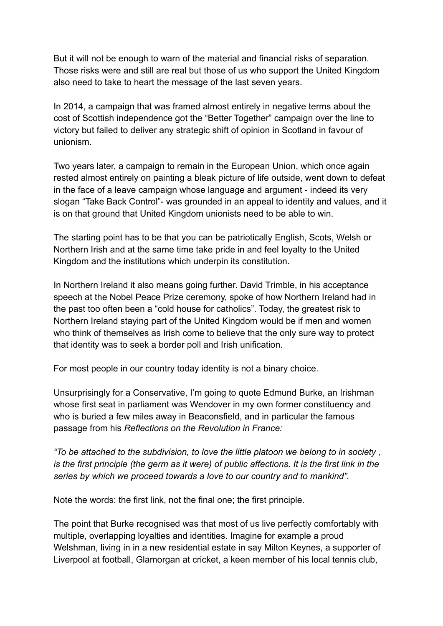But it will not be enough to warn of the material and financial risks of separation. Those risks were and still are real but those of us who support the United Kingdom also need to take to heart the message of the last seven years.

In 2014, a campaign that was framed almost entirely in negative terms about the cost of Scottish independence got the "Better Together" campaign over the line to victory but failed to deliver any strategic shift of opinion in Scotland in favour of unionism.

Two years later, a campaign to remain in the European Union, which once again rested almost entirely on painting a bleak picture of life outside, went down to defeat in the face of a leave campaign whose language and argument - indeed its very slogan "Take Back Control"- was grounded in an appeal to identity and values, and it is on that ground that United Kingdom unionists need to be able to win.

The starting point has to be that you can be patriotically English, Scots, Welsh or Northern Irish and at the same time take pride in and feel loyalty to the United Kingdom and the institutions which underpin its constitution.

In Northern Ireland it also means going further. David Trimble, in his acceptance speech at the Nobel Peace Prize ceremony, spoke of how Northern Ireland had in the past too often been a "cold house for catholics". Today, the greatest risk to Northern Ireland staying part of the United Kingdom would be if men and women who think of themselves as Irish come to believe that the only sure way to protect that identity was to seek a border poll and Irish unification.

For most people in our country today identity is not a binary choice.

Unsurprisingly for a Conservative, I'm going to quote Edmund Burke, an Irishman whose first seat in parliament was Wendover in my own former constituency and who is buried a few miles away in Beaconsfield, and in particular the famous passage from his *Reflections on the Revolution in France:* 

*"To be attached to the subdivision, to love the little platoon we belong to in society , is the first principle (the germ as it were) of public affections. It is the first link in the series by which we proceed towards a love to our country and to mankind".* 

Note the words: the first link, not the final one; the first principle.

The point that Burke recognised was that most of us live perfectly comfortably with multiple, overlapping loyalties and identities. Imagine for example a proud Welshman, living in in a new residential estate in say Milton Keynes, a supporter of Liverpool at football, Glamorgan at cricket, a keen member of his local tennis club,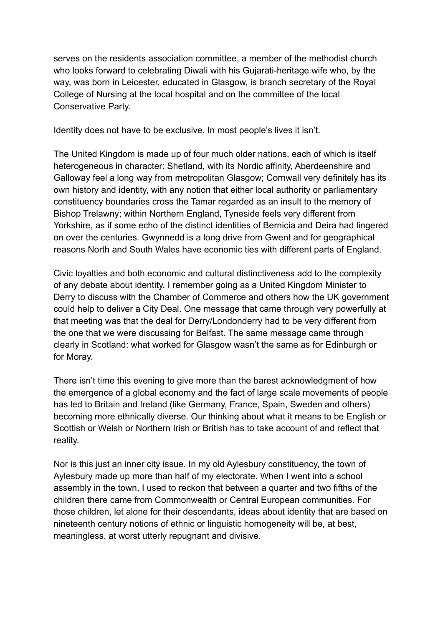serves on the residents association committee, a member of the methodist church who looks forward to celebrating Diwali with his Gujarati-heritage wife who, by the way, was born in Leicester, educated in Glasgow, is branch secretary of the Royal College of Nursing at the local hospital and on the committee of the local Conservative Party.

Identity does not have to be exclusive. In most people's lives it isn't.

The United Kingdom is made up of four much older nations, each of which is itself heterogeneous in character: Shetland, with its Nordic affinity, Aberdeenshire and Galloway feel a long way from metropolitan Glasgow; Cornwall very definitely has its own history and identity, with any notion that either local authority or parliamentary constituency boundaries cross the Tamar regarded as an insult to the memory of Bishop Trelawny; within Northern England, Tyneside feels very different from Yorkshire, as if some echo of the distinct identities of Bernicia and Deira had lingered on over the centuries. Gwynnedd is a long drive from Gwent and for geographical reasons North and South Wales have economic ties with different parts of England.

Civic loyalties and both economic and cultural distinctiveness add to the complexity of any debate about identity. I remember going as a United Kingdom Minister to Derry to discuss with the Chamber of Commerce and others how the UK government could help to deliver a City Deal. One message that came through very powerfully at that meeting was that the deal for Derry/Londonderry had to be very different from the one that we were discussing for Belfast. The same message came through clearly in Scotland: what worked for Glasgow wasn't the same as for Edinburgh or for Moray.

There isn't time this evening to give more than the barest acknowledgment of how the emergence of a global economy and the fact of large scale movements of people has led to Britain and Ireland (like Germany, France, Spain, Sweden and others) becoming more ethnically diverse. Our thinking about what it means to be English or Scottish or Welsh or Northern Irish or British has to take account of and reflect that reality.

Nor is this just an inner city issue. In my old Aylesbury constituency, the town of Aylesbury made up more than half of my electorate. When I went into a school assembly in the town, I used to reckon that between a quarter and two fifths of the children there came from Commonwealth or Central European communities. For those children, let alone for their descendants, ideas about identity that are based on nineteenth century notions of ethnic or linguistic homogeneity will be, at best, meaningless, at worst utterly repugnant and divisive.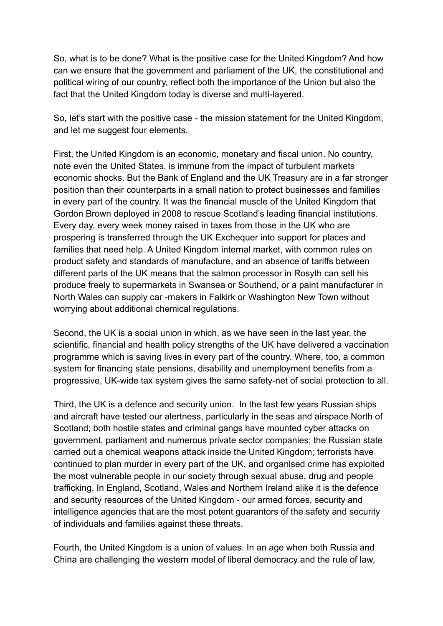So, what is to be done? What is the positive case for the United Kingdom? And how can we ensure that the government and parliament of the UK, the constitutional and political wiring of our country, reflect both the importance of the Union but also the fact that the United Kingdom today is diverse and multi-layered.

So, let's start with the positive case - the mission statement for the United Kingdom, and let me suggest four elements.

First, the United Kingdom is an economic, monetary and fiscal union. No country, note even the United States, is immune from the impact of turbulent markets economic shocks. But the Bank of England and the UK Treasury are in a far stronger position than their counterparts in a small nation to protect businesses and families in every part of the country. It was the financial muscle of the United Kingdom that Gordon Brown deployed in 2008 to rescue Scotland's leading financial institutions. Every day, every week money raised in taxes from those in the UK who are prospering is transferred through the UK Exchequer into support for places and families that need help. A United Kingdom internal market, with common rules on product safety and standards of manufacture, and an absence of tariffs between different parts of the UK means that the salmon processor in Rosyth can sell his produce freely to supermarkets in Swansea or Southend, or a paint manufacturer in North Wales can supply car -makers in Falkirk or Washington New Town without worrying about additional chemical regulations.

Second, the UK is a social union in which, as we have seen in the last year, the scientific, financial and health policy strengths of the UK have delivered a vaccination programme which is saving lives in every part of the country. Where, too, a common system for financing state pensions, disability and unemployment benefits from a progressive, UK-wide tax system gives the same safety-net of social protection to all.

Third, the UK is a defence and security union. In the last few years Russian ships and aircraft have tested our alertness, particularly in the seas and airspace North of Scotland; both hostile states and criminal gangs have mounted cyber attacks on government, parliament and numerous private sector companies; the Russian state carried out a chemical weapons attack inside the United Kingdom; terrorists have continued to plan murder in every part of the UK, and organised crime has exploited the most vulnerable people in our society through sexual abuse, drug and people trafficking. In England, Scotland, Wales and Northern Ireland alike it is the defence and security resources of the United Kingdom - our armed forces, security and intelligence agencies that are the most potent guarantors of the safety and security of individuals and families against these threats.

Fourth, the United Kingdom is a union of values. In an age when both Russia and China are challenging the western model of liberal democracy and the rule of law,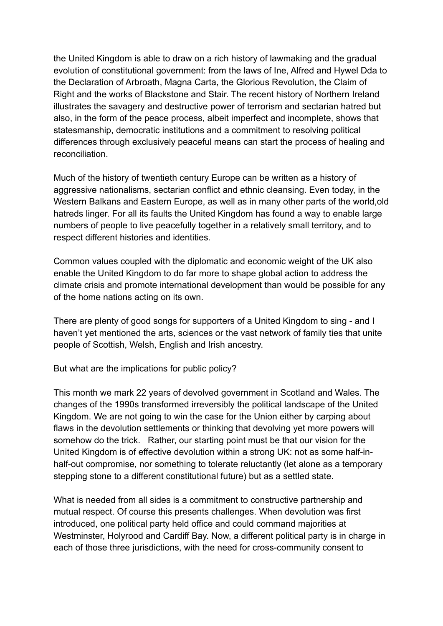the United Kingdom is able to draw on a rich history of lawmaking and the gradual evolution of constitutional government: from the laws of Ine, Alfred and Hywel Dda to the Declaration of Arbroath, Magna Carta, the Glorious Revolution, the Claim of Right and the works of Blackstone and Stair. The recent history of Northern Ireland illustrates the savagery and destructive power of terrorism and sectarian hatred but also, in the form of the peace process, albeit imperfect and incomplete, shows that statesmanship, democratic institutions and a commitment to resolving political differences through exclusively peaceful means can start the process of healing and reconciliation.

Much of the history of twentieth century Europe can be written as a history of aggressive nationalisms, sectarian conflict and ethnic cleansing. Even today, in the Western Balkans and Eastern Europe, as well as in many other parts of the world,old hatreds linger. For all its faults the United Kingdom has found a way to enable large numbers of people to live peacefully together in a relatively small territory, and to respect different histories and identities.

Common values coupled with the diplomatic and economic weight of the UK also enable the United Kingdom to do far more to shape global action to address the climate crisis and promote international development than would be possible for any of the home nations acting on its own.

There are plenty of good songs for supporters of a United Kingdom to sing - and I haven't yet mentioned the arts, sciences or the vast network of family ties that unite people of Scottish, Welsh, English and Irish ancestry.

But what are the implications for public policy?

This month we mark 22 years of devolved government in Scotland and Wales. The changes of the 1990s transformed irreversibly the political landscape of the United Kingdom. We are not going to win the case for the Union either by carping about flaws in the devolution settlements or thinking that devolving yet more powers will somehow do the trick. Rather, our starting point must be that our vision for the United Kingdom is of effective devolution within a strong UK: not as some half-inhalf-out compromise, nor something to tolerate reluctantly (let alone as a temporary stepping stone to a different constitutional future) but as a settled state.

What is needed from all sides is a commitment to constructive partnership and mutual respect. Of course this presents challenges. When devolution was first introduced, one political party held office and could command majorities at Westminster, Holyrood and Cardiff Bay. Now, a different political party is in charge in each of those three jurisdictions, with the need for cross-community consent to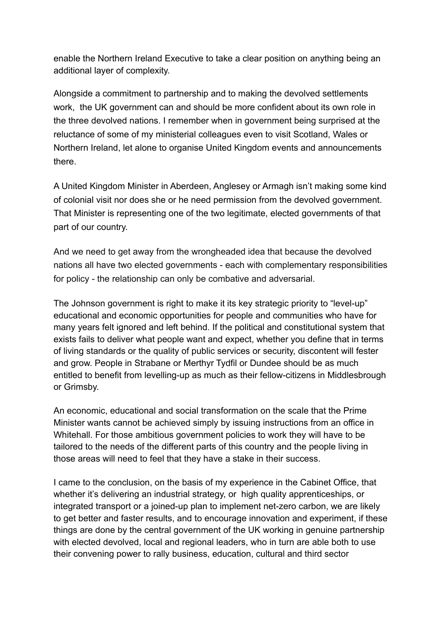enable the Northern Ireland Executive to take a clear position on anything being an additional layer of complexity.

Alongside a commitment to partnership and to making the devolved settlements work, the UK government can and should be more confident about its own role in the three devolved nations. I remember when in government being surprised at the reluctance of some of my ministerial colleagues even to visit Scotland, Wales or Northern Ireland, let alone to organise United Kingdom events and announcements there.

A United Kingdom Minister in Aberdeen, Anglesey or Armagh isn't making some kind of colonial visit nor does she or he need permission from the devolved government. That Minister is representing one of the two legitimate, elected governments of that part of our country.

And we need to get away from the wrongheaded idea that because the devolved nations all have two elected governments - each with complementary responsibilities for policy - the relationship can only be combative and adversarial.

The Johnson government is right to make it its key strategic priority to "level-up" educational and economic opportunities for people and communities who have for many years felt ignored and left behind. If the political and constitutional system that exists fails to deliver what people want and expect, whether you define that in terms of living standards or the quality of public services or security, discontent will fester and grow. People in Strabane or Merthyr Tydfil or Dundee should be as much entitled to benefit from levelling-up as much as their fellow-citizens in Middlesbrough or Grimsby.

An economic, educational and social transformation on the scale that the Prime Minister wants cannot be achieved simply by issuing instructions from an office in Whitehall. For those ambitious government policies to work they will have to be tailored to the needs of the different parts of this country and the people living in those areas will need to feel that they have a stake in their success.

I came to the conclusion, on the basis of my experience in the Cabinet Office, that whether it's delivering an industrial strategy, or high quality apprenticeships, or integrated transport or a joined-up plan to implement net-zero carbon, we are likely to get better and faster results, and to encourage innovation and experiment, if these things are done by the central government of the UK working in genuine partnership with elected devolved, local and regional leaders, who in turn are able both to use their convening power to rally business, education, cultural and third sector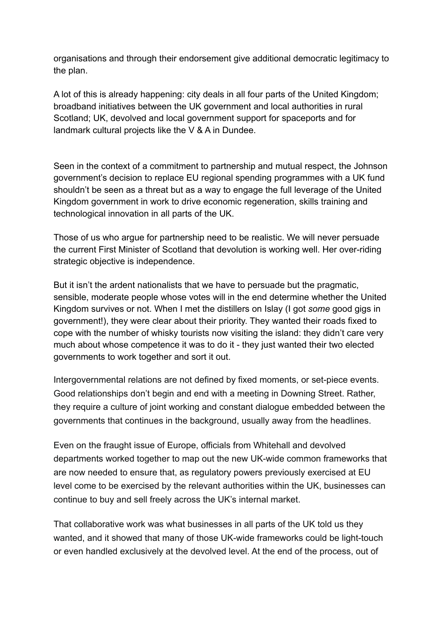organisations and through their endorsement give additional democratic legitimacy to the plan.

A lot of this is already happening: city deals in all four parts of the United Kingdom; broadband initiatives between the UK government and local authorities in rural Scotland; UK, devolved and local government support for spaceports and for landmark cultural projects like the V & A in Dundee.

Seen in the context of a commitment to partnership and mutual respect, the Johnson government's decision to replace EU regional spending programmes with a UK fund shouldn't be seen as a threat but as a way to engage the full leverage of the United Kingdom government in work to drive economic regeneration, skills training and technological innovation in all parts of the UK.

Those of us who argue for partnership need to be realistic. We will never persuade the current First Minister of Scotland that devolution is working well. Her over-riding strategic objective is independence.

But it isn't the ardent nationalists that we have to persuade but the pragmatic, sensible, moderate people whose votes will in the end determine whether the United Kingdom survives or not. When I met the distillers on Islay (I got *some* good gigs in government!), they were clear about their priority. They wanted their roads fixed to cope with the number of whisky tourists now visiting the island: they didn't care very much about whose competence it was to do it - they just wanted their two elected governments to work together and sort it out.

Intergovernmental relations are not defined by fixed moments, or set-piece events. Good relationships don't begin and end with a meeting in Downing Street. Rather, they require a culture of joint working and constant dialogue embedded between the governments that continues in the background, usually away from the headlines.

Even on the fraught issue of Europe, officials from Whitehall and devolved departments worked together to map out the new UK-wide common frameworks that are now needed to ensure that, as regulatory powers previously exercised at EU level come to be exercised by the relevant authorities within the UK, businesses can continue to buy and sell freely across the UK's internal market.

That collaborative work was what businesses in all parts of the UK told us they wanted, and it showed that many of those UK-wide frameworks could be light-touch or even handled exclusively at the devolved level. At the end of the process, out of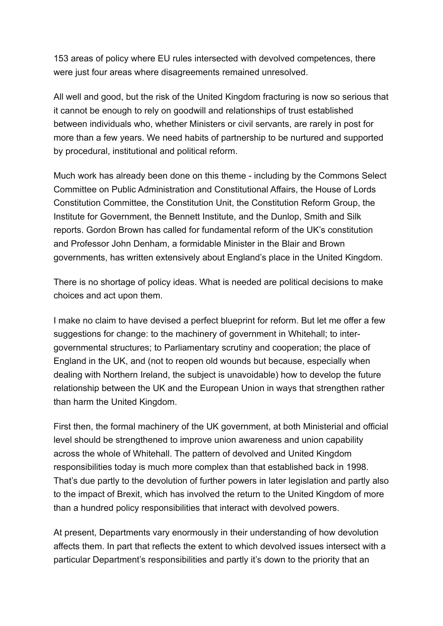153 areas of policy where EU rules intersected with devolved competences, there were just four areas where disagreements remained unresolved.

All well and good, but the risk of the United Kingdom fracturing is now so serious that it cannot be enough to rely on goodwill and relationships of trust established between individuals who, whether Ministers or civil servants, are rarely in post for more than a few years. We need habits of partnership to be nurtured and supported by procedural, institutional and political reform.

Much work has already been done on this theme - including by the Commons Select Committee on Public Administration and Constitutional Affairs, the House of Lords Constitution Committee, the Constitution Unit, the Constitution Reform Group, the Institute for Government, the Bennett Institute, and the Dunlop, Smith and Silk reports. Gordon Brown has called for fundamental reform of the UK's constitution and Professor John Denham, a formidable Minister in the Blair and Brown governments, has written extensively about England's place in the United Kingdom.

There is no shortage of policy ideas. What is needed are political decisions to make choices and act upon them.

I make no claim to have devised a perfect blueprint for reform. But let me offer a few suggestions for change: to the machinery of government in Whitehall; to intergovernmental structures; to Parliamentary scrutiny and cooperation; the place of England in the UK, and (not to reopen old wounds but because, especially when dealing with Northern Ireland, the subject is unavoidable) how to develop the future relationship between the UK and the European Union in ways that strengthen rather than harm the United Kingdom.

First then, the formal machinery of the UK government, at both Ministerial and official level should be strengthened to improve union awareness and union capability across the whole of Whitehall. The pattern of devolved and United Kingdom responsibilities today is much more complex than that established back in 1998. That's due partly to the devolution of further powers in later legislation and partly also to the impact of Brexit, which has involved the return to the United Kingdom of more than a hundred policy responsibilities that interact with devolved powers.

At present, Departments vary enormously in their understanding of how devolution affects them. In part that reflects the extent to which devolved issues intersect with a particular Department's responsibilities and partly it's down to the priority that an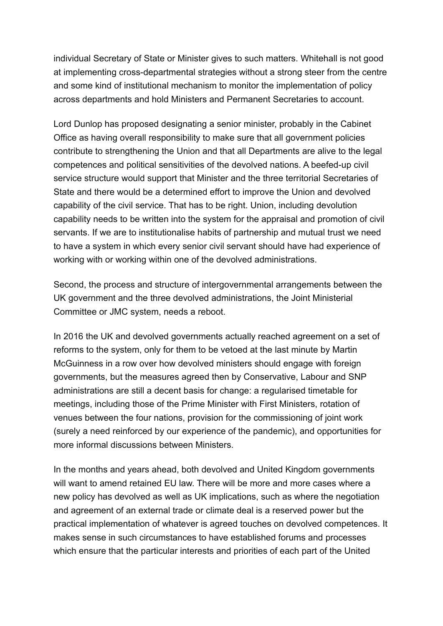individual Secretary of State or Minister gives to such matters. Whitehall is not good at implementing cross-departmental strategies without a strong steer from the centre and some kind of institutional mechanism to monitor the implementation of policy across departments and hold Ministers and Permanent Secretaries to account.

Lord Dunlop has proposed designating a senior minister, probably in the Cabinet Office as having overall responsibility to make sure that all government policies contribute to strengthening the Union and that all Departments are alive to the legal competences and political sensitivities of the devolved nations. A beefed-up civil service structure would support that Minister and the three territorial Secretaries of State and there would be a determined effort to improve the Union and devolved capability of the civil service. That has to be right. Union, including devolution capability needs to be written into the system for the appraisal and promotion of civil servants. If we are to institutionalise habits of partnership and mutual trust we need to have a system in which every senior civil servant should have had experience of working with or working within one of the devolved administrations.

Second, the process and structure of intergovernmental arrangements between the UK government and the three devolved administrations, the Joint Ministerial Committee or JMC system, needs a reboot.

In 2016 the UK and devolved governments actually reached agreement on a set of reforms to the system, only for them to be vetoed at the last minute by Martin McGuinness in a row over how devolved ministers should engage with foreign governments, but the measures agreed then by Conservative, Labour and SNP administrations are still a decent basis for change: a regularised timetable for meetings, including those of the Prime Minister with First Ministers, rotation of venues between the four nations, provision for the commissioning of joint work (surely a need reinforced by our experience of the pandemic), and opportunities for more informal discussions between Ministers.

In the months and years ahead, both devolved and United Kingdom governments will want to amend retained EU law. There will be more and more cases where a new policy has devolved as well as UK implications, such as where the negotiation and agreement of an external trade or climate deal is a reserved power but the practical implementation of whatever is agreed touches on devolved competences. It makes sense in such circumstances to have established forums and processes which ensure that the particular interests and priorities of each part of the United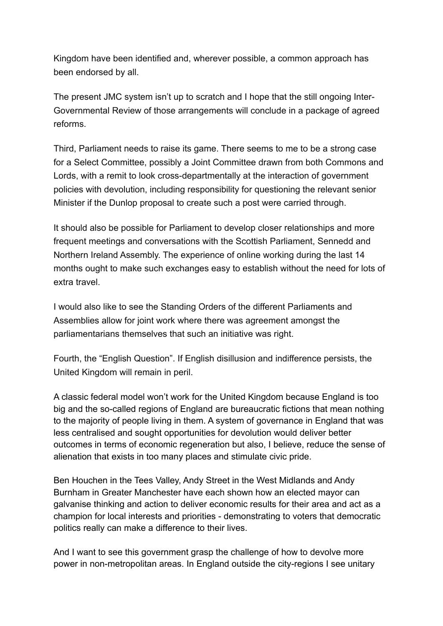Kingdom have been identified and, wherever possible, a common approach has been endorsed by all.

The present JMC system isn't up to scratch and I hope that the still ongoing Inter-Governmental Review of those arrangements will conclude in a package of agreed reforms.

Third, Parliament needs to raise its game. There seems to me to be a strong case for a Select Committee, possibly a Joint Committee drawn from both Commons and Lords, with a remit to look cross-departmentally at the interaction of government policies with devolution, including responsibility for questioning the relevant senior Minister if the Dunlop proposal to create such a post were carried through.

It should also be possible for Parliament to develop closer relationships and more frequent meetings and conversations with the Scottish Parliament, Sennedd and Northern Ireland Assembly. The experience of online working during the last 14 months ought to make such exchanges easy to establish without the need for lots of extra travel.

I would also like to see the Standing Orders of the different Parliaments and Assemblies allow for joint work where there was agreement amongst the parliamentarians themselves that such an initiative was right.

Fourth, the "English Question". If English disillusion and indifference persists, the United Kingdom will remain in peril.

A classic federal model won't work for the United Kingdom because England is too big and the so-called regions of England are bureaucratic fictions that mean nothing to the majority of people living in them. A system of governance in England that was less centralised and sought opportunities for devolution would deliver better outcomes in terms of economic regeneration but also, I believe, reduce the sense of alienation that exists in too many places and stimulate civic pride.

Ben Houchen in the Tees Valley, Andy Street in the West Midlands and Andy Burnham in Greater Manchester have each shown how an elected mayor can galvanise thinking and action to deliver economic results for their area and act as a champion for local interests and priorities - demonstrating to voters that democratic politics really can make a difference to their lives.

And I want to see this government grasp the challenge of how to devolve more power in non-metropolitan areas. In England outside the city-regions I see unitary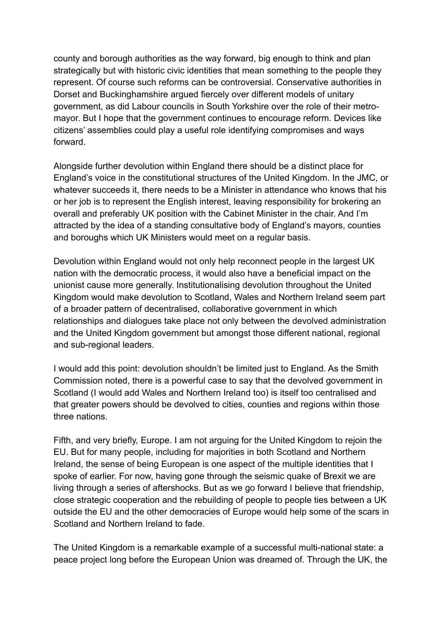county and borough authorities as the way forward, big enough to think and plan strategically but with historic civic identities that mean something to the people they represent. Of course such reforms can be controversial. Conservative authorities in Dorset and Buckinghamshire argued fiercely over different models of unitary government, as did Labour councils in South Yorkshire over the role of their metromayor. But I hope that the government continues to encourage reform. Devices like citizens' assemblies could play a useful role identifying compromises and ways forward.

Alongside further devolution within England there should be a distinct place for England's voice in the constitutional structures of the United Kingdom. In the JMC, or whatever succeeds it, there needs to be a Minister in attendance who knows that his or her job is to represent the English interest, leaving responsibility for brokering an overall and preferably UK position with the Cabinet Minister in the chair. And I'm attracted by the idea of a standing consultative body of England's mayors, counties and boroughs which UK Ministers would meet on a regular basis.

Devolution within England would not only help reconnect people in the largest UK nation with the democratic process, it would also have a beneficial impact on the unionist cause more generally. Institutionalising devolution throughout the United Kingdom would make devolution to Scotland, Wales and Northern Ireland seem part of a broader pattern of decentralised, collaborative government in which relationships and dialogues take place not only between the devolved administration and the United Kingdom government but amongst those different national, regional and sub-regional leaders.

I would add this point: devolution shouldn't be limited just to England. As the Smith Commission noted, there is a powerful case to say that the devolved government in Scotland (I would add Wales and Northern Ireland too) is itself too centralised and that greater powers should be devolved to cities, counties and regions within those three nations.

Fifth, and very briefly, Europe. I am not arguing for the United Kingdom to rejoin the EU. But for many people, including for majorities in both Scotland and Northern Ireland, the sense of being European is one aspect of the multiple identities that I spoke of earlier. For now, having gone through the seismic quake of Brexit we are living through a series of aftershocks. But as we go forward I believe that friendship, close strategic cooperation and the rebuilding of people to people ties between a UK outside the EU and the other democracies of Europe would help some of the scars in Scotland and Northern Ireland to fade.

The United Kingdom is a remarkable example of a successful multi-national state: a peace project long before the European Union was dreamed of. Through the UK, the